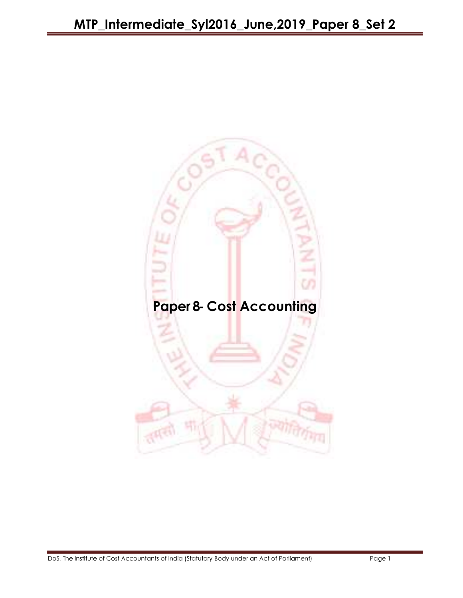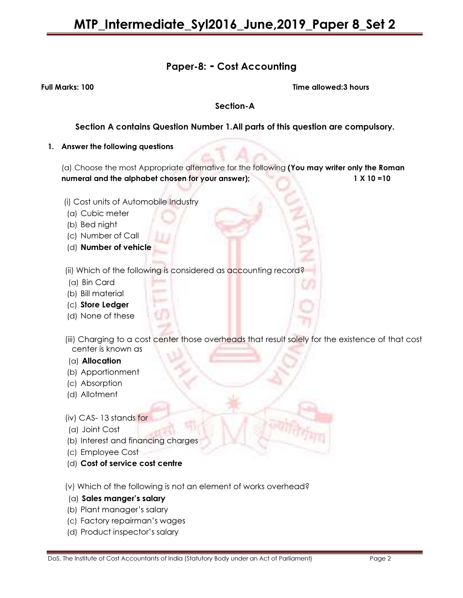## Paper-8: - Cost Accounting

Full Marks: 100 Time allowed:3 hours

#### Section-A

#### Section A contains Question Number 1.All parts of this question are compulsory.

#### 1. Answer the following questions

(a) Choose the most Appropriate alternative for the following (You may writer only the Roman numeral and the alphabet chosen for your answer); 1 X 10 =10

- (i) Cost units of Automobile Industry
- (a) Cubic meter
- (b) Bed night
- (c) Number of Call
- (d) Number of vehicle
- (ii) Which of the following is considered as accounting record?
- (a) Bin Card
- (b) Bill material
- (c) Store Ledger
- (d) None of these
- (iii) Charging to a cost center those overheads that result solely for the existence of that cost center is known as
- (a) Allocation
- (b) Apportionment
- (c) Absorption
- (d) Allotment
- (iv) CAS- 13 stands for
- (a) Joint Cost
- (b) Interest and financing charges
- (c) Employee Cost
- (d) Cost of service cost centre
- (v) Which of the following is not an element of works overhead?
- (a) Sales manger's salary
- (b) Plant manager's salary
- (c) Factory repairman's wages
- (d) Product inspector's salary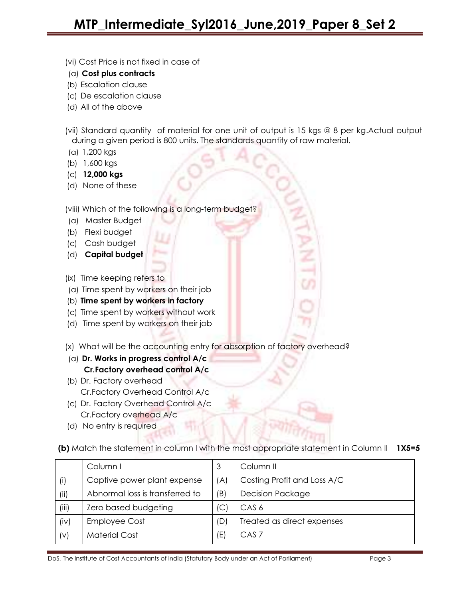- (vi) Cost Price is not fixed in case of
- (a) Cost plus contracts
- (b) Escalation clause
- (c) De escalation clause
- (d) All of the above
- (vii) Standard quantity of material for one unit of output is 15 kgs @ 8 per kg.Actual output during a given period is 800 units. The standards quantity of raw material.
- (a) 1,200 kgs
- (b) 1,600 kgs
- (c) 12,000 kgs
- (d) None of these

(viii) Which of the following is a long-term budget?

- (a) Master Budget
- (b) Flexi budget
- (c) Cash budget
- (d) Capital budget
- (ix) Time keeping refers to
- (a) Time spent by workers on their job
- (b) Time spent by workers in factory
- (c) Time spent by workers without work
- (d) Time spent by workers on their job
- (x) What will be the accounting entry for absorption of factory overhead?
- ( $a)$  Dr. Works in progress control  $A/c$ Cr.Factory overhead control A/c
- (b) Dr. Factory overhead Cr.Factory Overhead Control A/c
- (c) Dr. Factory Overhead Control A/c Cr.Factory overhead A/c
- (d) No entry is required

(b) Match the statement in column I with the most appropriate statement in Column II 1X5=5

|       | Column I                        | 3   | Column II                   |
|-------|---------------------------------|-----|-----------------------------|
| (i)   | Captive power plant expense     | (A) | Costing Profit and Loss A/C |
| (ii)  | Abnormal loss is transferred to | (B) | <b>Decision Package</b>     |
| (iii) | Zero based budgeting            | (C  | CAS <sub>6</sub>            |
| (iv)  | <b>Employee Cost</b>            | (D) | Treated as direct expenses  |
| (v)   | <b>Material Cost</b>            | (E) | CAS <sub>7</sub>            |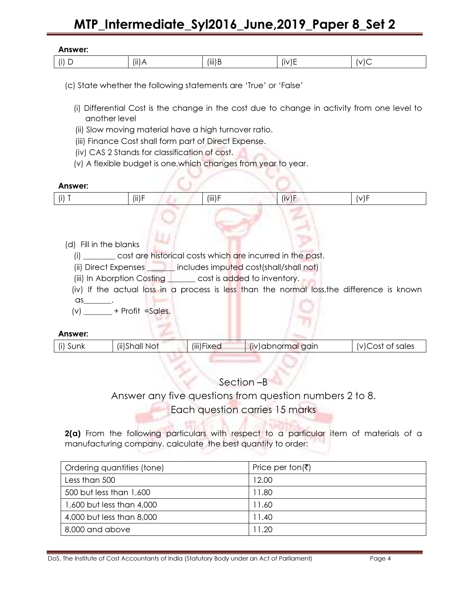| Answer:                                                                                                                   |                                                                                                                                                                                                                                           |             |                                                                                                                  |                  |  |
|---------------------------------------------------------------------------------------------------------------------------|-------------------------------------------------------------------------------------------------------------------------------------------------------------------------------------------------------------------------------------------|-------------|------------------------------------------------------------------------------------------------------------------|------------------|--|
| $(i)$ D                                                                                                                   | $(ii)$ A                                                                                                                                                                                                                                  | $(iii)$ B   | (iv)E                                                                                                            | (v)C             |  |
|                                                                                                                           | (c) State whether the following statements are 'True' or 'False'                                                                                                                                                                          |             |                                                                                                                  |                  |  |
| another level                                                                                                             |                                                                                                                                                                                                                                           |             | (i) Differential Cost is the change in the cost due to change in activity from one level to                      |                  |  |
|                                                                                                                           | (ii) Slow moving material have a high turnover ratio.                                                                                                                                                                                     |             |                                                                                                                  |                  |  |
|                                                                                                                           | (iii) Finance Cost shall form part of Direct Expense.<br>(iv) CAS 2 Stands for classification of cost.                                                                                                                                    |             |                                                                                                                  |                  |  |
|                                                                                                                           | (v) A flexible budget is one, which changes from year to year.                                                                                                                                                                            |             |                                                                                                                  |                  |  |
|                                                                                                                           |                                                                                                                                                                                                                                           |             |                                                                                                                  |                  |  |
| Answer:                                                                                                                   |                                                                                                                                                                                                                                           |             |                                                                                                                  |                  |  |
| $(i)$ T                                                                                                                   | $(ii)$ F                                                                                                                                                                                                                                  | (iii) F     | (iv)F                                                                                                            | (v)F             |  |
| (d) Fill in the blanks<br>$\alpha s$ .<br>$(v)$ + Profit = Sales.<br>Answer:                                              | (i) ________ cost are historical costs which are incurred in the past.<br>(ii) Direct Expenses <b>The limit includes imputed cost</b> (shall/shall not)<br>(iii) In Aborption Costing League cost is added to inventory.<br>(ii)Shall Not |             | (iv) If the actual loss in a process is less than the normal loss, the difference is known<br>(iv) abnormal gain |                  |  |
| (i) Sunk                                                                                                                  |                                                                                                                                                                                                                                           | (iii) Fixed |                                                                                                                  | (v)Cost of sales |  |
|                                                                                                                           |                                                                                                                                                                                                                                           | Section -B  | Answer any five questions from question numbers 2 to 8.                                                          |                  |  |
| Each question carries 15 marks<br>2(a) From the following particulars with respect to a particular item of materials of a |                                                                                                                                                                                                                                           |             |                                                                                                                  |                  |  |

manufacturing company. calculate the best quantity to order:

| Ordering quantities (tone) | Price per ton( $\bar{z}$ ) |
|----------------------------|----------------------------|
| Less than 500              | 12.00                      |
| 500 but less than 1,600    | 11.80                      |
| 1,600 but less than 4,000  | 11.60                      |
| 4,000 but less than 8,000  | 11.40                      |
| 8,000 and above            | 11.20                      |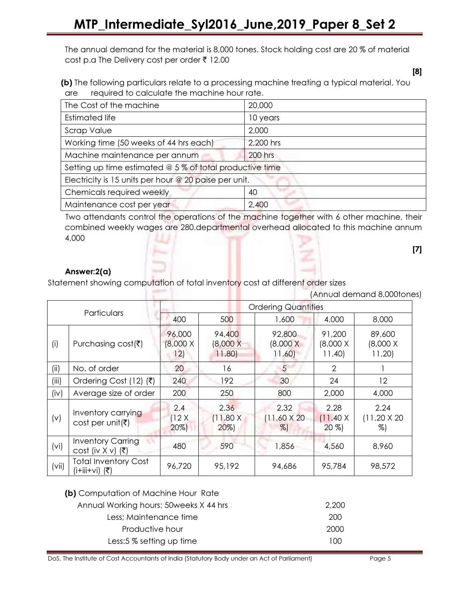The annual demand for the material is 8,000 tones. Stock holding cost are 20 % of material cost p.a The Delivery cost per order  $\bar{\tau}$  12.00

 (b) The following particulars relate to a processing machine treating a typical material. You are required to calculate the machine hour rate.

| The Cost of the machine                                  | 20,000         |
|----------------------------------------------------------|----------------|
| <b>Estimated life</b>                                    | 10 years       |
| <b>Scrap Value</b>                                       | 2,000          |
| Working time (50 weeks of 44 hrs each)                   | 2,200 hrs      |
| Machine maintenance per annum                            | <b>200 hrs</b> |
| Setting up time estimated @ 5 % of total productive time |                |
| Electricity is 15 units per hour @ 20 paise per unit.    |                |
| Chemicals required weekly                                | 40             |
| Maintenance cost per year                                | 2,400          |

Two attendants control the operations of the machine together with 6 other machine, their combined weekly wages are 280.departmental overhead allocated to this machine annum 4,000

#### Answer:2(a)

Statement showing computation of total inventory cost at different order sizes

|       | (Annual demand 8,000tones)                         |                                  |                                    |                              |                                    |                                    |
|-------|----------------------------------------------------|----------------------------------|------------------------------------|------------------------------|------------------------------------|------------------------------------|
|       |                                                    |                                  | <b>Ordering Quantities</b>         |                              |                                    |                                    |
|       | Particulars                                        | 400                              | 500                                | 1,600                        | 4,000                              | 8,000                              |
| (i)   | Purchasing $cost(\bar{\tau})$                      | 96,000<br>$(8,000 \times$<br>12) | 94,400<br>$(8,000 \times$<br>11.80 | 92,800<br>(8,000 X)<br>11.60 | 91,200<br>$(8,000 \times$<br>11.40 | 89,600<br>$(8,000 \times$<br>11.20 |
| (ii)  | No. of order                                       | 20                               | 16                                 | 5                            | $\mathcal{P}$                      |                                    |
| (iii) | Ordering Cost (12) (₹)                             | 240                              | 192                                | 30                           | 24                                 | 12                                 |
| (iv)  | Average size of order                              | 200                              | 250                                | 800                          | 2,000                              | 4,000                              |
| (v)   | Inventory carrying<br>cost per unit( $\bar{z}$ )   | 2.4<br>(12X)<br>$20\%)$          | 2.36<br>(11.80 X)<br>$20\%$        | 2.32<br>11.60 X 20<br>$\%$   | 2.28<br>(11.40 X)<br>$20\%$        | 2.24<br>$(11.20 \times 20)$<br>%)  |
| (vi)  | <b>Inventory Carring</b><br>$cost$ (iv $X v$ ) (₹) | 480                              | 590                                | 1,856                        | 4,560                              | 8,960                              |
| (vii) | <b>Total Inventory Cost</b><br>(i+iii+vi) (₹)      | 96,720                           | 95,192                             | 94,686                       | 95,784                             | 98,572                             |

| (b) Computation of Machine Hour Rate    |       |  |
|-----------------------------------------|-------|--|
| Annual Working hours: 50 weeks X 44 hrs | 2.200 |  |
| Less; Maintenance time                  | 200   |  |
| Productive hour                         | 2000  |  |
| Less: 5 % setting up time               | 100   |  |
|                                         |       |  |

DoS, The Institute of Cost Accountants of India (Statutory Body under an Act of Parliament) Page 5

[7]

[8]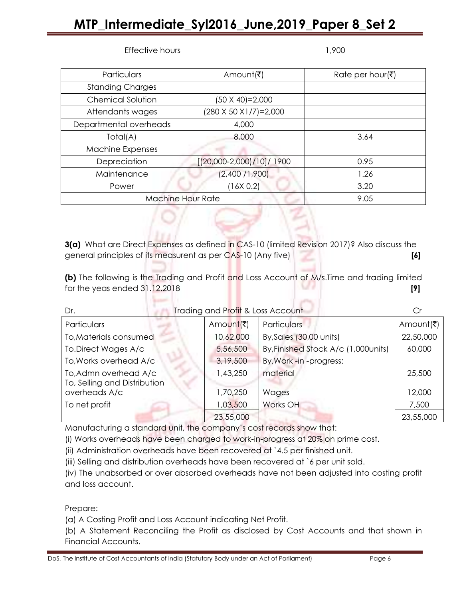#### Effective hours and the state of the 1,900 models are the 1,900 models and the 1,900 models are the 1,900 models.

| DoS, The Institute of Cost Accountants of India (Statutory Body under an Act of Parliament) | Page 6 |
|---------------------------------------------------------------------------------------------|--------|
|---------------------------------------------------------------------------------------------|--------|

| Particulars             | Amount(₹)                  | Rate per hour(₹) |
|-------------------------|----------------------------|------------------|
| <b>Standing Charges</b> |                            |                  |
| Chemical Solution       | (50 X 40)=2,000            |                  |
| Attendants wages        | (280 X 50 X1/7)=2,000      |                  |
| Departmental overheads  | 4,000                      |                  |
| Total(A)                | 8,000                      | 3.64             |
| <b>Machine Expenses</b> |                            |                  |
| Depreciation            | $[(20,000-2,000)/10]/1900$ | 0.95             |
| Maintenance             | (2,400/1,900)              | 1.26             |
| Power                   | (16X 0.2)                  | 3.20             |
|                         | <b>Machine Hour Rate</b>   | 9.05             |

3(a) What are Direct Expenses as defined in CAS-10 (limited Revision 2017)? Also discuss the general principles of its measurent as per CAS-10 (Any five) **[6]** 

(b) The following is the Trading and Profit and Loss Account of M/s. Time and trading limited for the yeas ended 31.12.2018 [9]

| Dr.                          | Trading and Profit & Loss Account |                                      |           |
|------------------------------|-----------------------------------|--------------------------------------|-----------|
| Particulars                  | Amount(₹)                         | <b>Particulars</b>                   | Amount(₹) |
| To, Materials consumed       | 10,62,000                         | By, Sales (30,00 units)              | 22,50,000 |
| To.Direct Wages A/c          | 5,56,500                          | By, Finished Stock A/c (1,000 units) | 60,000    |
| To, Works overhead A/c       | 3,19,500                          | By, Work -in -progress:              |           |
| To, Admn overhead A/c        | 1,43,250                          | material                             | 25,500    |
| To, Selling and Distribution |                                   |                                      |           |
| overheads A/c                | 1,70,250                          | Wages                                | 12,000    |
| To net profit                | 1,03,500                          | Works OH                             | 7,500     |
|                              | 23,55,000                         |                                      | 23,55,000 |

Manufacturing a standard unit, the company's cost records show that:

(i) Works overheads have been charged to work-in-progress at 20% on prime cost.

(ii) Administration overheads have been recovered at `4.5 per finished unit.

(iii) Selling and distribution overheads have been recovered at `6 per unit sold.

(iv) The unabsorbed or over absorbed overheads have not been adjusted into costing profit and loss account.

Prepare:

(a) A Costing Profit and Loss Account indicating Net Profit.

**Second Co.** 

(b) A Statement Reconciling the Profit as disclosed by Cost Accounts and that shown in Financial Accounts.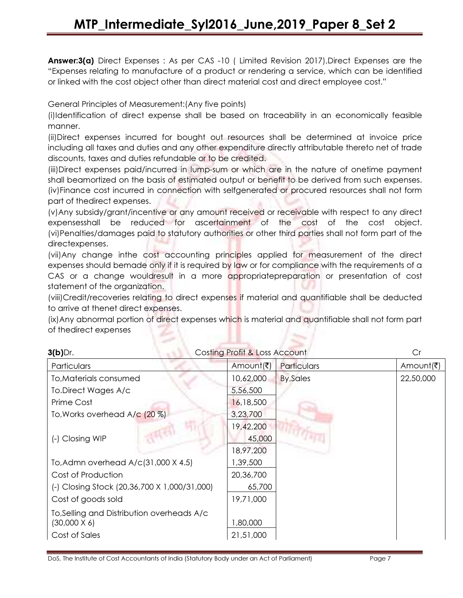Answer:3(a) Direct Expenses : As per CAS -10 ( Limited Revision 2017), Direct Expenses are the "Expenses relating to manufacture of a product or rendering a service, which can be identified or linked with the cost object other than direct material cost and direct employee cost."

General Principles of Measurement:(Any five points)

(i)Identification of direct expense shall be based on traceability in an economically feasible manner.

(ii)Direct expenses incurred for bought out resources shall be determined at invoice price including all taxes and duties and any other expenditure directly attributable thereto net of trade discounts, taxes and duties refundable or to be credited.

(iii)Direct expenses paid/incurred in lump-sum or which are in the nature of onetime payment shall beamortized on the basis of estimated output or benefit to be derived from such expenses. (iv)Finance cost incurred in connection with selfgenerated or procured resources shall not form part of thedirect expenses.

(v)Any subsidy/grant/incentive or any amount received or receivable with respect to any direct expensesshall be reduced for ascertainment of the cost of the cost object. (vi)Penalties/damages paid to statutory authorities or other third parties shall not form part of the directexpenses.

(vii)Any change inthe cost accounting principles applied for measurement of the direct expenses should bemade only if it is required by law or for compliance with the requirements of a CAS or a change wouldresult in a more appropriatepreparation or presentation of cost statement of the organization.

(viii)Credit/recoveries relating to direct expenses if material and quantifiable shall be deducted to arrive at thenet direct expenses.

(ix)Any abnormal portion of direct expenses which is material and quantifiable shall not form part of thedirect expenses

| $3(b)$ Dr.                                   | Costing Profit & Loss Account |                  | Cr        |
|----------------------------------------------|-------------------------------|------------------|-----------|
| Particulars                                  | Amount(₹)                     | Particulars      | Amount(₹) |
| To, Materials consumed                       | 10,62,000                     | <b>By, Sales</b> | 22,50,000 |
| To.Direct Wages A/c                          | 5,56,500                      |                  |           |
| Prime Cost                                   | 16,18,500                     |                  |           |
| To, Works overhead A/c (20 %)                | 3,23,700                      |                  |           |
|                                              | 19,42,200                     |                  |           |
| (-) Closing WIP                              | 45,000                        |                  |           |
|                                              | 18,97,200                     |                  |           |
| To, Admn overhead A/c(31,000 X 4.5)          | ,39,500                       |                  |           |
| Cost of Production                           | 20,36,700                     |                  |           |
| (-) Closing Stock (20,36,700 X 1,000/31,000) | 65,700                        |                  |           |
| Cost of goods sold                           | 19,71,000                     |                  |           |
| To, Selling and Distribution overheads A/c   |                               |                  |           |
| $(30,000 \times 6)$                          | 1,80,000                      |                  |           |
| Cost of Sales                                | 21,51,000                     |                  |           |

DoS, The Institute of Cost Accountants of India (Statutory Body under an Act of Parliament) Page 7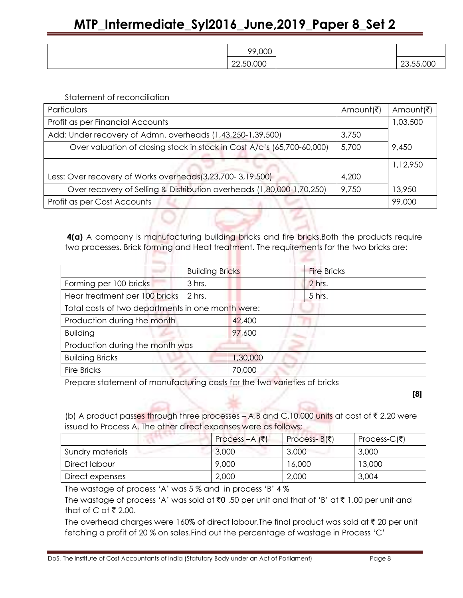| 99,000    |           |
|-----------|-----------|
| 22,50,000 | 23,55,000 |

Statement of reconciliation

| Particulars                                                            | Amount(₹) | Amount(₹) |
|------------------------------------------------------------------------|-----------|-----------|
| Profit as per Financial Accounts                                       |           | 1,03,500  |
| Add: Under recovery of Admn. overheads (1,43,250-1,39,500)             | 3,750     |           |
| Over valuation of closing stock in stock in Cost A/c's (65,700-60,000) | 5,700     | 9,450     |
|                                                                        |           | 1,12,950  |
| Less: Over recovery of Works overheads(3,23,700-3,19,500)              | 4,200     |           |
| Over recovery of Selling & Distribution overheads (1,80,000-1,70,250)  | 9,750     | 13,950    |
| Profit as per Cost Accounts                                            |           | 99,000    |

4(a) A company is manufacturing building bricks and fire bricks. Both the products require two processes. Brick forming and Heat treatment. The requirements for the two bricks are:

|                                                   | <b>Building Bricks</b> |          | <b>Fire Bricks</b> |
|---------------------------------------------------|------------------------|----------|--------------------|
| Forming per 100 bricks                            | 3 hrs.                 |          | 2 hrs.             |
| Hear treatment per 100 bricks                     | 2 hrs.                 |          | 5 hrs.             |
| Total costs of two departments in one month were: |                        |          |                    |
| Production during the month                       |                        | 42,400   |                    |
| <b>Building</b>                                   |                        | 97,600   |                    |
| Production during the month was                   |                        |          |                    |
| <b>Building Bricks</b>                            |                        | 1,30,000 |                    |
| <b>Fire Bricks</b>                                |                        | 70,000   |                    |

Prepare statement of manufacturing costs for the two varieties of bricks

[8]

(b) A product passes through three processes – A,B and C.10,000 units at cost of  $\bar{\tau}$  2.20 were issued to Process A. The other direct expenses were as follows;

|                  | Process $-A$ (₹) | Process- $B(\bar{\bar{z}})$ | Process- $C($ ₹) |
|------------------|------------------|-----------------------------|------------------|
| Sundry materials | 3,000            | 3.000                       | 3.000            |
| Direct labour    | 9,000            | 16,000                      | 13,000           |
| Direct expenses  | 2,000            | 2,000                       | 3.004            |

The wastage of process 'A' was 5 % and in process 'B' 4 %

The wastage of process 'A' was sold at  $\bar{z}0$  .50 per unit and that of 'B' at  $\bar{z}$  1.00 per unit and that of C at  $\bar{\tau}$  2.00.

The overhead charges were 160% of direct labour. The final product was sold at  $\bar{\tau}$  20 per unit fetching a profit of 20 % on sales.Find out the percentage of wastage in Process 'C'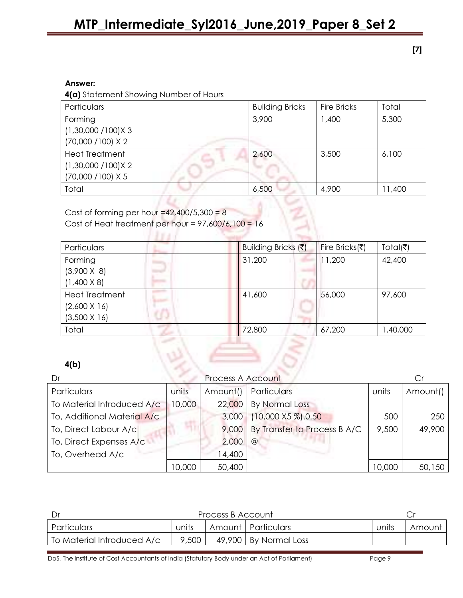[7]

#### Answer:

4(a) Statement Showing Number of Hours

| Particulars            | <b>Building Bricks</b> | <b>Fire Bricks</b> | Total  |
|------------------------|------------------------|--------------------|--------|
| Forming                | 3,900                  | 1,400              | 5,300  |
| $(1,30,000 / 100)$ X 3 |                        |                    |        |
| (70,000 / 100) X 2     |                        |                    |        |
| <b>Heat Treatment</b>  | 2,600                  | 3,500              | 6,100  |
| $(1,30,000 / 100)$ X 2 |                        |                    |        |
| (70,000 / 100) X 5     |                        |                    |        |
| Total                  | 6,500                  | 4,900              | 11,400 |

Cost of forming per hour =42,400/5,300 =  $8$ Cost of Heat treatment per hour =  $97,600/6,100 = 16$ 

**Waren** 

19 Marca 19

| Particulars                                                                           | Building Bricks (₹) | Fire Bricks( $\bar{\tau}$ ) | Total( $\bar{z}$ ) |
|---------------------------------------------------------------------------------------|---------------------|-----------------------------|--------------------|
| Forming<br><b>State Street</b><br>$(3,900 \times 8)$<br>and all<br>$(1,400 \times 8)$ | 31,200              | 11,200                      | 42,400             |
| <b>Heat Treatment</b><br>$(2,600 \times 16)$<br>$(3,500 \times 16)$                   | 41,600              | 56,000                      | 97,600             |
| Total                                                                                 | 72,800              | 67,200                      | 1,40,000           |

#### 4(b)

| Dr                          |        | Process A Account |                              |        |          |
|-----------------------------|--------|-------------------|------------------------------|--------|----------|
| Particulars                 | units  | Amount()          | Particulars                  | units  | Amount() |
| To Material Introduced A/c  | 10,000 | 22,000            | By Normal Loss               |        |          |
| To, Additional Material A/c |        | 3,000             | $(10,000 \times 5 \%)$ .0.50 | 500    | 250      |
| To, Direct Labour A/c       |        | 9,000             | By Transfer to Process B A/C | 9,500  | 49,900   |
| To, Direct Expenses A/c     |        | 2,000             | $\omega$                     |        |          |
| To, Overhead A/c            |        | 14,400            |                              |        |          |
|                             | 10,000 | 50,400            |                              | 10,000 | 50,150   |

| ⊟ Dr                       | Process B Account |  |                                         |       |        |
|----------------------------|-------------------|--|-----------------------------------------|-------|--------|
| Particulars                | units             |  | Amount Particulars                      | units | Amount |
| To Material Introduced A/c |                   |  | $\vert$ 9,500   49,900   By Normal Loss |       |        |

DoS, The Institute of Cost Accountants of India (Statutory Body under an Act of Parliament) Page 9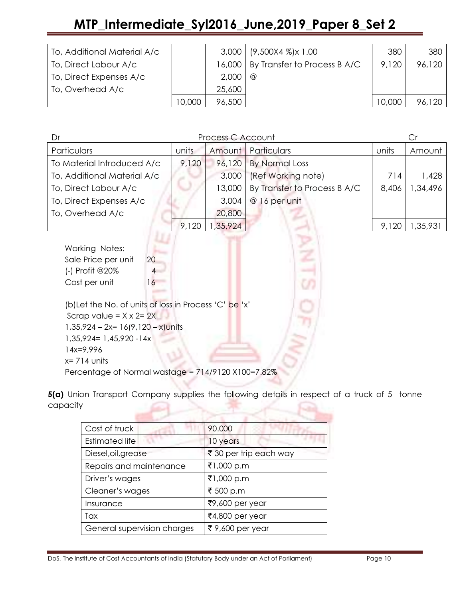| To, Additional Material A/c |        |        | $3,000$   $(9,500X4 \%)$ x 1.00       | 380    | 380    |
|-----------------------------|--------|--------|---------------------------------------|--------|--------|
| To, Direct Labour A/c       |        |        | 16,000   By Transfer to Process B A/C | 9,120  | 96,120 |
| To, Direct Expenses A/c     |        | 2,000  | $\circleda$                           |        |        |
| To, Overhead A/c            |        | 25,600 |                                       |        |        |
|                             | 10,000 | 96,500 |                                       | 10,000 |        |

| Process C Account<br>Dr     |       |         |                              |       | Cr       |
|-----------------------------|-------|---------|------------------------------|-------|----------|
| Particulars                 | units |         | Amount   Particulars         | units | Amount   |
| To Material Introduced A/c  | 9,120 | 96,120  | <b>By Normal Loss</b>        |       |          |
| To, Additional Material A/c |       | 3,000   | (Ref Working note)           | 714   | 1,428    |
| To, Direct Labour A/c       |       | 13,000  | By Transfer to Process B A/C | 8,406 | ,34,496  |
| To, Direct Expenses A/c     |       | 3,004   | @ 16 per unit                |       |          |
| To, Overhead A/c            |       | 20,800  |                              |       |          |
|                             |       | ,35,924 |                              | 9,120 | 1,35,931 |

| Working Notes:                        |                                                        |  |
|---------------------------------------|--------------------------------------------------------|--|
| Sale Price per unit                   | 20                                                     |  |
| (-) Profit @20%                       |                                                        |  |
| Cost per unit                         | 16                                                     |  |
|                                       |                                                        |  |
|                                       | (b) Let the No. of units of loss in Process 'C' be 'x' |  |
| Scrap value = $X \times 2 = 2X$       |                                                        |  |
| $1,35,924 - 2x = 16(9,120 - x)$ units |                                                        |  |
| $1,35,924 = 1,45,920 - 14x$           |                                                        |  |
| $14x=9.996$                           |                                                        |  |
| $x = 714$ units                       |                                                        |  |
| n 1                                   | وتجريرا المجموعة والطاكر<br>1101001100                 |  |

Percentage of Normal wastage = 714/9120 X100=7.82%

5(a) Union Transport Company supplies the following details in respect of a truck of 5 tonne capacity

| Cost of truck               | 90.000                 |
|-----------------------------|------------------------|
| <b>Estimated life</b>       | 10 years               |
| Diesel, oil, grease         | ₹ 30 per trip each way |
| Repairs and maintenance     | ₹1,000 p.m             |
| Driver's wages              | ₹1,000 p.m             |
| Cleaner's wages             | ₹ 500 p.m              |
| Insurance                   | ₹9,600 per year        |
| Tax                         | ₹4,800 per year        |
| General supervision charges | ₹9,600 per year        |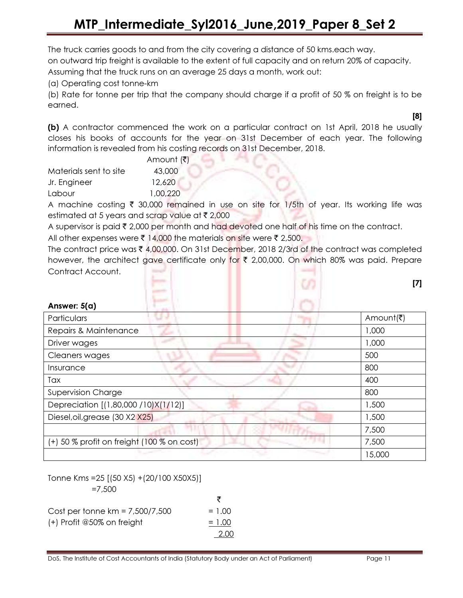The truck carries goods to and from the city covering a distance of 50 kms.each way.

on outward trip freight is available to the extent of full capacity and on return 20% of capacity.

Assuming that the truck runs on an average 25 days a month, work out:

(a) Operating cost tonne-km

(b) Rate for tonne per trip that the company should charge if a profit of 50 % on freight is to be earned.

(b) A contractor commenced the work on a particular contract on 1st April, 2018 he usually closes his books of accounts for the year on 31st December of each year. The following information is revealed from his costing records on 31st December, 2018.

|                        | Amount (₹) |
|------------------------|------------|
| Materials sent to site | 43,000     |
| Jr. Engineer           | 12,620     |
| Labour                 | 1.00.220   |

Answer: 5(a)

A machine costing  $\bar{\tau}$  30,000 remained in use on site for 1/5th of year. Its working life was estimated at 5 years and scrap value at  $\bar{\tau}$  2,000

A supervisor is paid  $\bar{\tau}$  2,000 per month and had devoted one half of his time on the contract.

All other expenses were  $\bar{\tau}$  14,000 the materials on site were  $\bar{\tau}$  2,500.

The contract price was  $\bar{\tau}$  4,00,000. On 31st December, 2018 2/3rd of the contract was completed however, the architect gave certificate only for  $\bar{\tau}$  2,00,000. On which 80% was paid. Prepare Contract Account.



| , ,,,,,,,,,,,,,,,                          |           |
|--------------------------------------------|-----------|
| Particulars                                | Amount(₹) |
| Repairs & Maintenance                      | 1,000     |
| Driver wages                               | 1,000     |
| Cleaners wages                             | 500       |
| Insurance                                  | 800       |
| Tax                                        | 400       |
| Supervision Charge                         | 800       |
| Depreciation [(1,80,000 / 10) X(1/12)]     | 1,500     |
| Diesel, oil, grease (30 X2 X25)            | 1,500     |
|                                            | 7,500     |
| (+) 50 % profit on freight (100 % on cost) | 7,500     |
|                                            | 15,000    |

Tonne Kms =25 [(50 X5) +(20/100 X50X5)] =7,500

|                                   | ₹        |
|-----------------------------------|----------|
| Cost per tonne $km = 7,500/7,500$ | $= 1.00$ |
| $(+)$ Profit @50% on freight      | $= 1.00$ |
|                                   | 2.00     |

[8]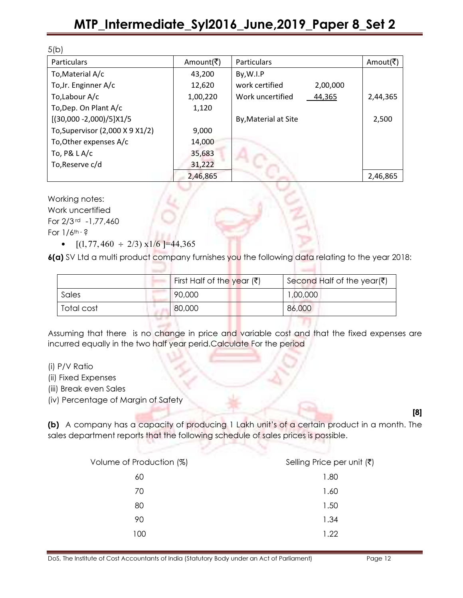| 5(b)                            |           |                            |           |
|---------------------------------|-----------|----------------------------|-----------|
| <b>Particulars</b>              | Amount(₹) | Particulars                | Amout(रै) |
| To, Material A/c                | 43,200    | By, W.I.P                  |           |
| To, Jr. Enginner A/c            | 12,620    | work certified<br>2,00,000 |           |
| To,Labour A/c                   | 1,00,220  | Work uncertified<br>44,365 | 2,44,365  |
| To, Dep. On Plant A/c           | 1,120     |                            |           |
| $[(30,000 - 2,000)/5]X1/5$      |           | By, Material at Site       | 2,500     |
| To, Supervisor (2,000 X 9 X1/2) | 9,000     |                            |           |
| To, Other expenses A/c          | 14,000    |                            |           |
| To, $P&LA/c$                    | 35,683    |                            |           |
| To, Reserve c/d                 | 31,222    |                            |           |
|                                 | 2,46,865  |                            | 2,46,865  |

Working notes:

Work uncertified For 2/3 rd -1,77,460 For  $1/6$ <sup>th - ?</sup>

•  $[(1, 77, 460 \div 2/3) \times 1/6] = 44,365$ 

6(a) SV Ltd a multi product company furnishes you the following data relating to the year 2018:

|            | First Half of the year $(\bar{\bar{\mathbf{x}}})$ | Second Half of the year( $\bar{\mathfrak{c}}$ ) |
|------------|---------------------------------------------------|-------------------------------------------------|
| Sales      | 90,000                                            | 1,00,000                                        |
| Total cost | 80,000                                            | 86,000                                          |

Assuming that there is no change in price and variable cost and that the fixed expenses are incurred equally in the two half year perid.Calculate For the period

- (i) P/V Ratio
- (ii) Fixed Expenses
- (iii) Break even Sales

(iv) Percentage of Margin of Safety

(b) A company has a capacity of producing 1 Lakh unit's of a certain product in a month. The sales department reports that the following schedule of sales prices is possible.

| Volume of Production (%) | Selling Price per unit $(\bar{\zeta})$ |
|--------------------------|----------------------------------------|
| 60                       | 1.80                                   |
| 70                       | 1.60                                   |
| 80                       | 1.50                                   |
| 90                       | 1.34                                   |
| 100                      | 1.22                                   |
|                          |                                        |

[8]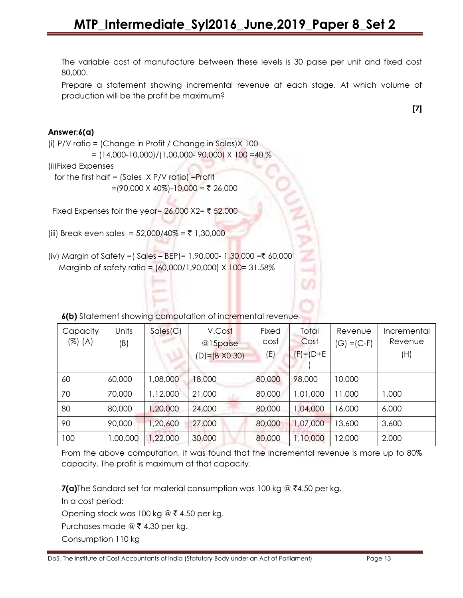The variable cost of manufacture between these levels is 30 paise per unit and fixed cost 80,000.

Prepare a statement showing incremental revenue at each stage. At which volume of production will be the profit be maximum?

[7]

#### Answer:6(a)

(i) P/V ratio = (Change in Profit / Change in Sales)X 100

 $=$  (14,000-10,000)/(1,00,000-90,000) X 100 =40 %

(ii)Fixed Expenses

 for the first half = (Sales X P/V ratio) –Profit =(90,000 X 40%)-10,000 = ₹ 26,000

Fixed Expenses foir the year=  $26,000$  X2= ₹ 52,000

- (iii) Break even sales = 52,000/40% = ₹ 1,30,000
- (iv) Margin of Safety =  $\left($  Sales BEP) = 1,90,000- 1,30,000 =  $\frac{30,000}{10,000}$ Marginb of safety ratio = (60,000/1,90,000) X 100= 31.58%

6(b) Statement showing computation of incremental revenue

| Capacity<br>(%) (A) | Units    | Sales(C) | V.Cost                              | Fixed<br>cost | Total<br>Cost   | Revenue       | Incremental<br>Revenue |
|---------------------|----------|----------|-------------------------------------|---------------|-----------------|---------------|------------------------|
|                     | (B)      |          | @15paise<br>$(D) = (B \times 0.30)$ | (E)           | $(F) = (D + E)$ | $(G) = (C-F)$ | (H)                    |
| 60                  | 60,000   | 1,08,000 | 18,000                              | 80,000        | 98,000          | 10,000        |                        |
| 70                  | 70,000   | 1,12,000 | 21,000                              | 80,000        | 1,01,000        | 11,000        | 1,000                  |
| 80                  | 80,000   | ,20,000  | 24,000                              | 80,000        | 1,04,000        | 16,000        | 6,000                  |
| 90                  | 90,000   | ,20,600  | 27,000                              | 80,000        | 1,07,000        | 13,600        | 3,600                  |
| 100                 | 1,00,000 | 1,22,000 | 30,000                              | 80,000        | 1,10,000        | 12,000        | 2,000                  |

From the above computation, it was found that the incremental revenue is more up to 80% capacity. The profit is maximum at that capacity.

**7(a)**The Sandard set for material consumption was 100 kg @  $\bar{z}$ 4.50 per kg.

In a cost period:

Opening stock was 100 kg @  $\bar{\tau}$  4.50 per kg.

Purchases made  $\circledcirc$  ₹ 4.30 per kg.

Consumption 110 kg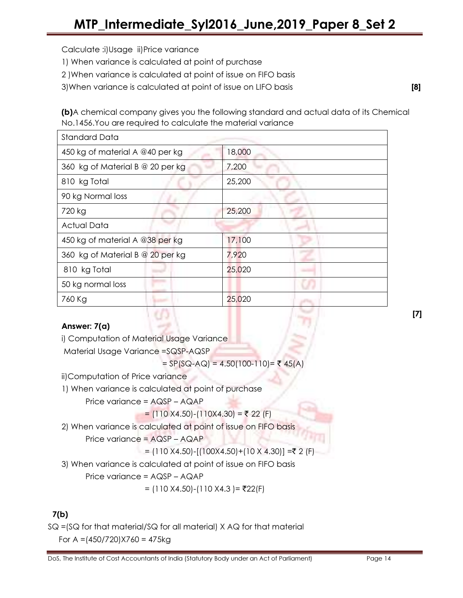Calculate :i)Usage ii)Price variance

- 1) When variance is calculated at point of purchase
- 2 )When variance is calculated at point of issue on FIFO basis

3)When variance is calculated at point of issue on LIFO basis [8]

(b)A chemical company gives you the following standard and actual data of its Chemical No.1456.You are required to calculate the material variance

| <b>Standard Data</b>             |        |
|----------------------------------|--------|
| 450 kg of material A @40 per kg  | 18,000 |
| 360 kg of Material B @ 20 per kg | 7,200  |
| 810 kg Total                     | 25,200 |
| 90 kg Normal loss                |        |
| 720 kg                           | 25,200 |
| <b>Actual Data</b>               |        |
| 450 kg of material A @38 per kg  | 17,100 |
| 360 kg of Material B @ 20 per kg | 7,920  |
| 810 kg Total                     | 25,020 |
| 50 kg normal loss                |        |
| 760 Kg                           | 25,020 |

#### Answer: 7(a)

i) Computation of Material Usage Variance

Material Usage Variance =SQSP-AQSP

=  $SP(SQ-AQ) = 4.50(100-110) = ₹ 45(A)$ 

ii)Computation of Price variance

- 1) When variance is calculated at point of purchase
	- Price variance = AQSP AQAP

= (110 X4.50)-(110X4.30) = ₹ 22 (F)

2) When variance is calculated at point of issue on FIFO basis

Price variance = AQSP – AQAP

$$
= (110 X4.50) - [(100 X4.50) + (10 X 4.30)] = ₹ 2 (F)
$$

3) When variance is calculated at point of issue on FIFO basis

Price variance = AQSP – AQAP

$$
= (110 X4.50) - (110 X4.3) = ₹22(F)
$$

### 7(b)

SQ =(SQ for that material/SQ for all material) X AQ for that material For A = $(450/720)X760 = 475kg$ 

[7]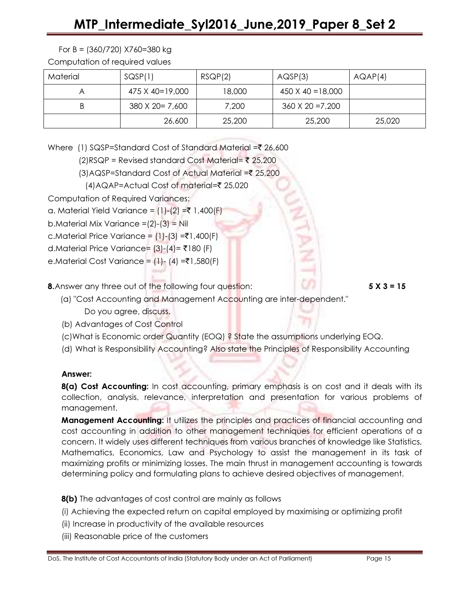#### For B = (360/720) X760=380 kg

Computation of required values

| Material | SQSP(1)          | RSQP(2) | AQSP(3)                  | AQAP(4) |
|----------|------------------|---------|--------------------------|---------|
|          | 475 X 40=19,000  | 18,000  | $450 \times 40 = 18,000$ |         |
|          | 380 X 20 = 7,600 | 7,200   | $360 \times 20 = 7,200$  |         |
|          | 26,600           | 25,200  | 25,200                   | 25,020  |

Where (1) SQSP=Standard Cost of Standard Material = $\overline{z}$  26,600

- $(2)RSQP = Revised standard Cost Material = ₹ 25,200$
- $(3)$ AQSP=Standard Cost of Actual Material = $\overline{\zeta}$  25,200
- (4)AQAP=Actual Cost of material=` 25,020

Computation of Required Variances:

a. Material Yield Variance =  $(1)-(2) = ₹ 1,400(F)$ 

b.Material Mix Variance =(2)-(3) = Nil

c.Material Price Variance =  $(1)-(3) = \t{7}1,400(F)$ 

d.Material Price Variance=  $(3)-(4)$ = ₹180 (F)

e.Material Cost Variance =  $(1)$ -  $(4)$  =₹1,580(F)

**8.** Answer any three out of the following four question: **5 X 3 = 15** 

- (a) "Cost Accounting and Management Accounting are inter-dependent." Do you agree, discuss.
	- (b) Advantages of Cost Control
	- (c)What is Economic order Quantity (EOQ) ? State the assumptions underlying EOQ.
	- (d) What is Responsibility Accounting? Also state the Principles of Responsibility Accounting

#### Answer:

8(a) Cost Accounting: In cost accounting, primary emphasis is on cost and it deals with its collection, analysis, relevance, interpretation and presentation for various problems of management.

**Management Accounting:** It utilizes the principles and practices of financial accounting and cost accounting in addition to other management techniques for efficient operations of a concern. It widely uses different techniques from various branches of knowledge like Statistics, Mathematics, Economics, Law and Psychology to assist the management in its task of maximizing profits or minimizing losses. The main thrust in management accounting is towards determining policy and formulating plans to achieve desired objectives of management.

#### 8(b) The advantages of cost control are mainly as follows

- (i) Achieving the expected return on capital employed by maximising or optimizing profit
- (ii) Increase in productivity of the available resources
- (iii) Reasonable price of the customers